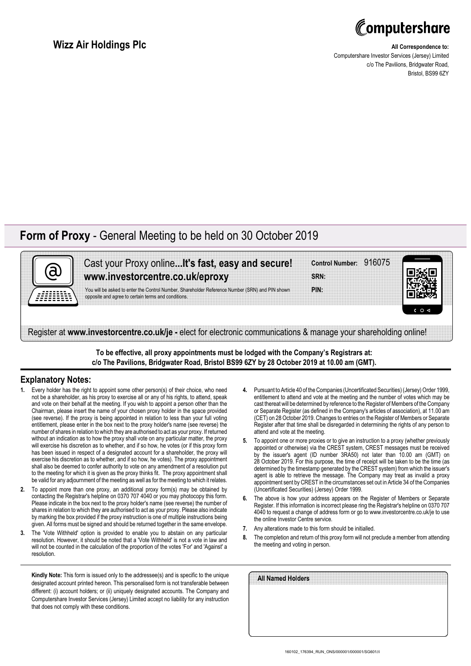

## **Wizz Air Holdings Plc**

## **All Correspondence to:**

Computershare Investor Services (Jersey) Limited c/o The Pavilions, Bridgwater Road, Bristol, BS99 6ZY

## **Form of Proxy** - General Meeting to be held on 30 October 2019

| Cast your Proxy online It's fast, easy and secure!<br>www.investorcentre.co.uk/eproxy                                                                  | Control Number: 916075<br><b>SRN</b> |    |
|--------------------------------------------------------------------------------------------------------------------------------------------------------|--------------------------------------|----|
| You will be asked to enter the Control Number, Shareholder Reference Number (SRN) and PIN shown<br>opposite and agree to certain terms and conditions. | PIN:                                 | 0< |

**To be effective, all proxy appointments must be lodged with the Company's Registrars at: c/o The Pavilions, Bridgwater Road, Bristol BS99 6ZY by 28 October 2019 at 10.00 am (GMT).**

## **Explanatory Notes:**

- **1.** Every holder has the right to appoint some other person(s) of their choice, who need not be a shareholder, as his proxy to exercise all or any of his rights, to attend, speak and vote on their behalf at the meeting. If you wish to appoint a person other than the Chairman, please insert the name of your chosen proxy holder in the space provided (see reverse). If the proxy is being appointed in relation to less than your full voting entitlement, please enter in the box next to the proxy holder's name (see reverse) the number of shares in relation to which they are authorised to act as your proxy. If returned without an indication as to how the proxy shall vote on any particular matter, the proxy will exercise his discretion as to whether, and if so how, he votes (or if this proxy form has been issued in respect of a designated account for a shareholder, the proxy will exercise his discretion as to whether, and if so how, he votes). The proxy appointment shall also be deemed to confer authority to vote on any amendment of a resolution put to the meeting for which it is given as the proxy thinks fit. The proxy appointment shall be valid for any adjournment of the meeting as well as for the meeting to which it relates.
- **2.** To appoint more than one proxy, an additional proxy form(s) may be obtained by contacting the Registrar's helpline on 0370 707 4040 or you may photocopy this form. Please indicate in the box next to the proxy holder's name (see reverse) the number of shares in relation to which they are authorised to act as your proxy. Please also indicate by marking the box provided if the proxy instruction is one of multiple instructions being given. All forms must be signed and should be returned together in the same envelope.
- **3.** The 'Vote Withheld' option is provided to enable you to abstain on any particular resolution. However, it should be noted that a 'Vote Withheld' is not a vote in law and will not be counted in the calculation of the proportion of the votes 'For' and 'Against' a resolution

**Kindly Note:** This form is issued only to the addressee(s) and is specific to the unique designated account printed hereon. This personalised form is not transferable between different: (i) account holders; or (ii) uniquely designated accounts. The Company and Computershare Investor Services (Jersey) Limited accept no liability for any instruction that does not comply with these conditions.

- **4.** Pursuant to Article 40 of the Companies (Uncertificated Securities) (Jersey) Order 1999, entitlement to attend and vote at the meeting and the number of votes which may be cast thereat will be determined by reference to the Register of Members of the Company or Separate Register (as defined in the Company's articles of association), at 11.00 am (CET) on 28 October 2019. Changes to entries on the Register of Members or Separate Register after that time shall be disregarded in determining the rights of any person to attend and vote at the meeting.
- **5.** To appoint one or more proxies or to give an instruction to a proxy (whether previously appointed or otherwise) via the CREST system, CREST messages must be received by the issuer's agent (ID number 3RA50) not later than 10.00 am (GMT) on 28 October 2019. For this purpose, the time of receipt will be taken to be the time (as determined by the timestamp generated by the CREST system) from which the issuer's agent is able to retrieve the message. The Company may treat as invalid a proxy appointment sent by CREST in the circumstances set out in Article 34 of the Companies (Uncertificated Securities) (Jersey) Order 1999.
- **6.** The above is how your address appears on the Register of Members or Separate Register. If this information is incorrect please ring the Registrar's helpline on 0370 707 4040 to request a change of address form or go to www.investorcentre.co.uk/je to use the online Investor Centre service.
- **7.** Any alterations made to this form should be initialled.
- **8.** The completion and return of this proxy form will not preclude a member from attending the meeting and voting in person.

| All Named Holders |  |
|-------------------|--|
|                   |  |
|                   |  |
|                   |  |
|                   |  |